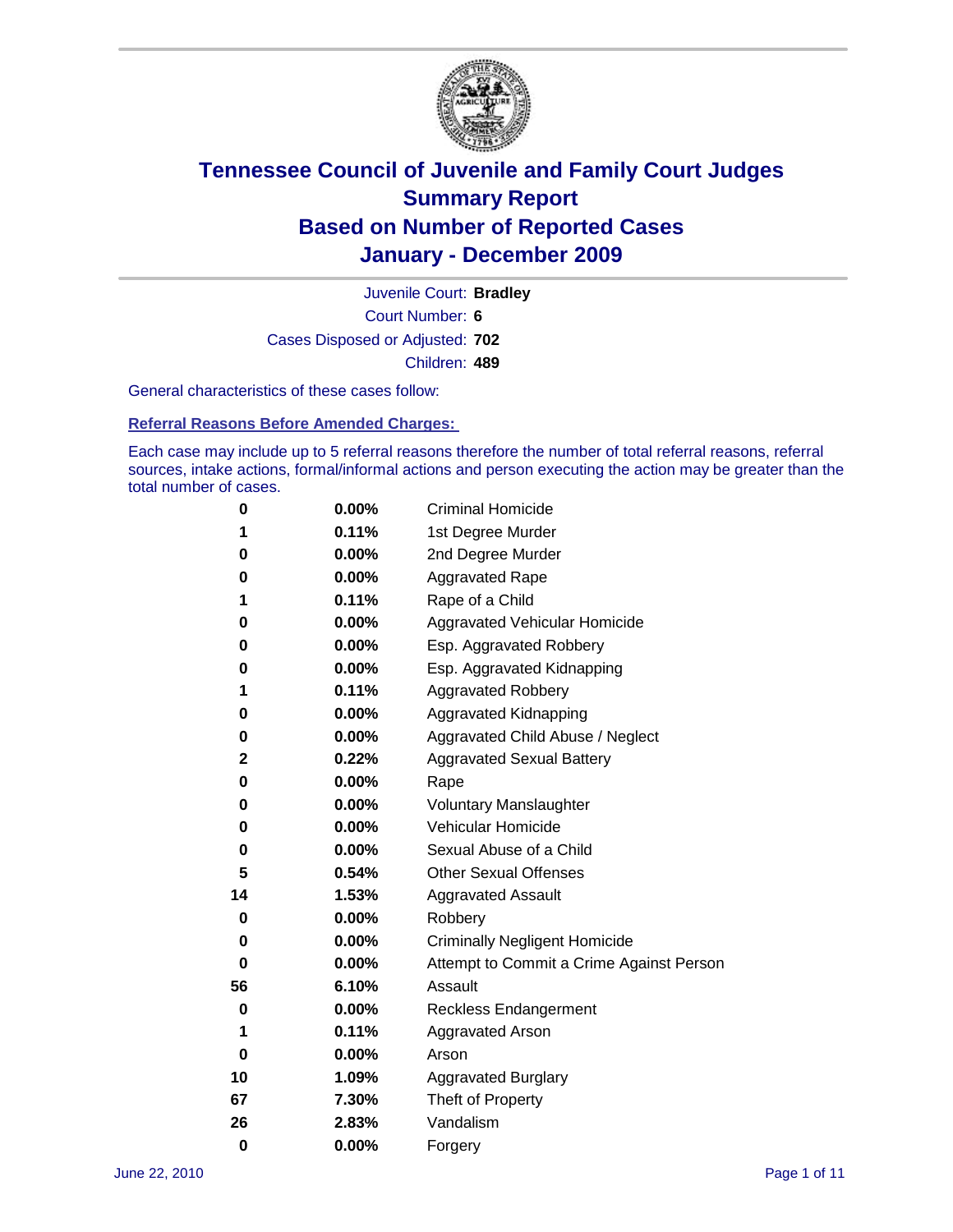

Court Number: **6** Juvenile Court: **Bradley** Cases Disposed or Adjusted: **702** Children: **489**

General characteristics of these cases follow:

**Referral Reasons Before Amended Charges:** 

Each case may include up to 5 referral reasons therefore the number of total referral reasons, referral sources, intake actions, formal/informal actions and person executing the action may be greater than the total number of cases.

| 0  | 0.00%    | <b>Criminal Homicide</b>                 |
|----|----------|------------------------------------------|
| 1  | 0.11%    | 1st Degree Murder                        |
| 0  | 0.00%    | 2nd Degree Murder                        |
| 0  | 0.00%    | <b>Aggravated Rape</b>                   |
| 1  | 0.11%    | Rape of a Child                          |
| 0  | 0.00%    | Aggravated Vehicular Homicide            |
| 0  | 0.00%    | Esp. Aggravated Robbery                  |
| 0  | 0.00%    | Esp. Aggravated Kidnapping               |
| 1  | 0.11%    | Aggravated Robbery                       |
| 0  | 0.00%    | Aggravated Kidnapping                    |
| 0  | 0.00%    | Aggravated Child Abuse / Neglect         |
| 2  | 0.22%    | <b>Aggravated Sexual Battery</b>         |
| 0  | 0.00%    | Rape                                     |
| 0  | 0.00%    | <b>Voluntary Manslaughter</b>            |
| 0  | 0.00%    | Vehicular Homicide                       |
| 0  | 0.00%    | Sexual Abuse of a Child                  |
| 5  | 0.54%    | <b>Other Sexual Offenses</b>             |
| 14 | 1.53%    | <b>Aggravated Assault</b>                |
| 0  | 0.00%    | Robbery                                  |
| 0  | 0.00%    | <b>Criminally Negligent Homicide</b>     |
| 0  | 0.00%    | Attempt to Commit a Crime Against Person |
| 56 | 6.10%    | Assault                                  |
| 0  | 0.00%    | <b>Reckless Endangerment</b>             |
| 1  | 0.11%    | <b>Aggravated Arson</b>                  |
| 0  | $0.00\%$ | Arson                                    |
| 10 | 1.09%    | <b>Aggravated Burglary</b>               |
| 67 | 7.30%    | Theft of Property                        |
| 26 | 2.83%    | Vandalism                                |
| 0  | 0.00%    | Forgery                                  |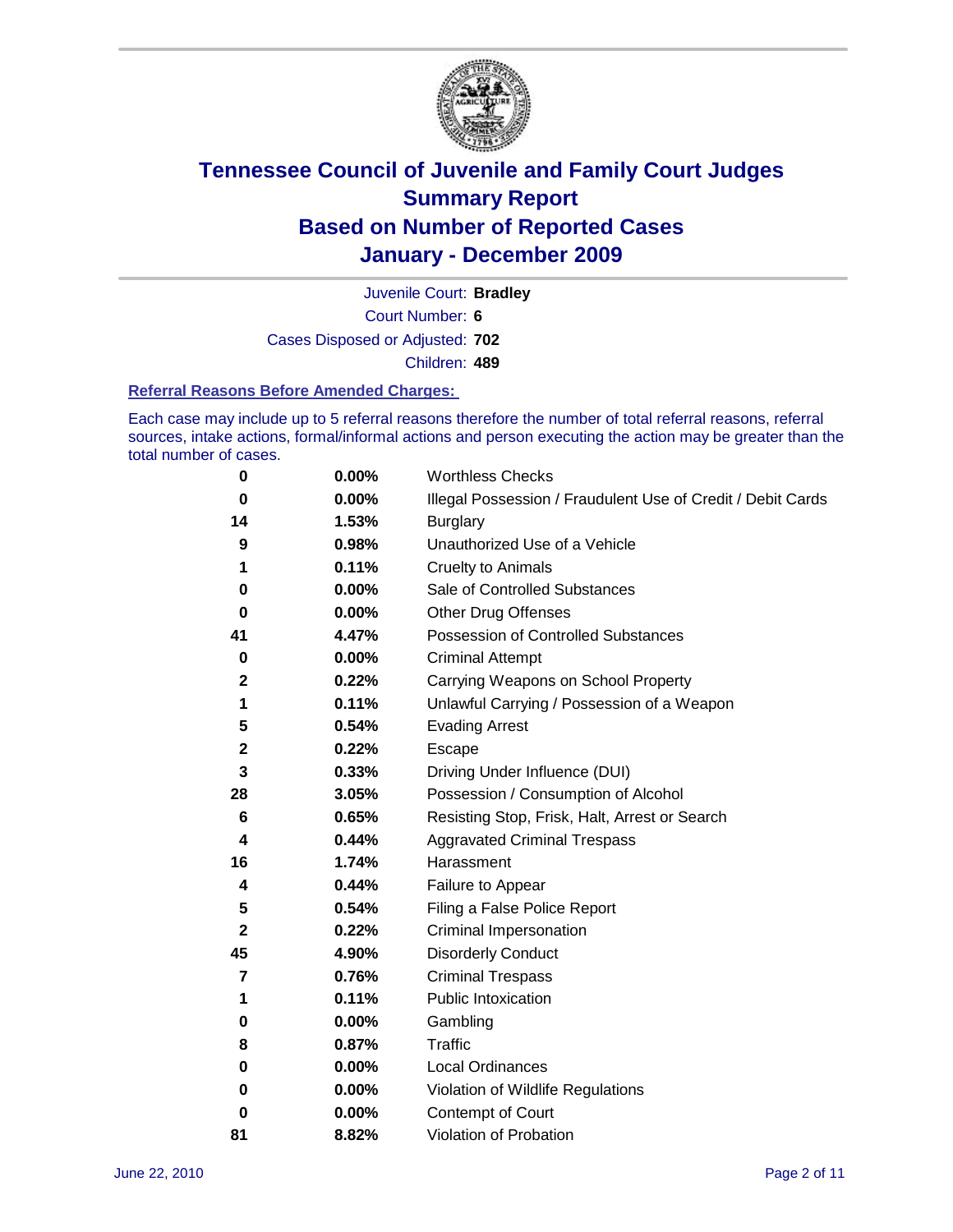

Juvenile Court: **Bradley**

Court Number: **6**

Cases Disposed or Adjusted: **702**

Children: **489**

#### **Referral Reasons Before Amended Charges:**

Each case may include up to 5 referral reasons therefore the number of total referral reasons, referral sources, intake actions, formal/informal actions and person executing the action may be greater than the total number of cases.

| 0            | 0.00% | <b>Worthless Checks</b>                                     |
|--------------|-------|-------------------------------------------------------------|
| 0            | 0.00% | Illegal Possession / Fraudulent Use of Credit / Debit Cards |
| 14           | 1.53% | <b>Burglary</b>                                             |
| 9            | 0.98% | Unauthorized Use of a Vehicle                               |
| 1            | 0.11% | <b>Cruelty to Animals</b>                                   |
| 0            | 0.00% | Sale of Controlled Substances                               |
| 0            | 0.00% | <b>Other Drug Offenses</b>                                  |
| 41           | 4.47% | <b>Possession of Controlled Substances</b>                  |
| 0            | 0.00% | <b>Criminal Attempt</b>                                     |
| $\mathbf{2}$ | 0.22% | Carrying Weapons on School Property                         |
| 1            | 0.11% | Unlawful Carrying / Possession of a Weapon                  |
| 5            | 0.54% | <b>Evading Arrest</b>                                       |
| 2            | 0.22% | Escape                                                      |
| 3            | 0.33% | Driving Under Influence (DUI)                               |
| 28           | 3.05% | Possession / Consumption of Alcohol                         |
| 6            | 0.65% | Resisting Stop, Frisk, Halt, Arrest or Search               |
| 4            | 0.44% | <b>Aggravated Criminal Trespass</b>                         |
| 16           | 1.74% | Harassment                                                  |
| 4            | 0.44% | Failure to Appear                                           |
| 5            | 0.54% | Filing a False Police Report                                |
| $\mathbf 2$  | 0.22% | Criminal Impersonation                                      |
| 45           | 4.90% | <b>Disorderly Conduct</b>                                   |
| 7            | 0.76% | <b>Criminal Trespass</b>                                    |
| 1            | 0.11% | <b>Public Intoxication</b>                                  |
| 0            | 0.00% | Gambling                                                    |
| 8            | 0.87% | <b>Traffic</b>                                              |
| 0            | 0.00% | <b>Local Ordinances</b>                                     |
| 0            | 0.00% | Violation of Wildlife Regulations                           |
| 0            | 0.00% | Contempt of Court                                           |
| 81           | 8.82% | Violation of Probation                                      |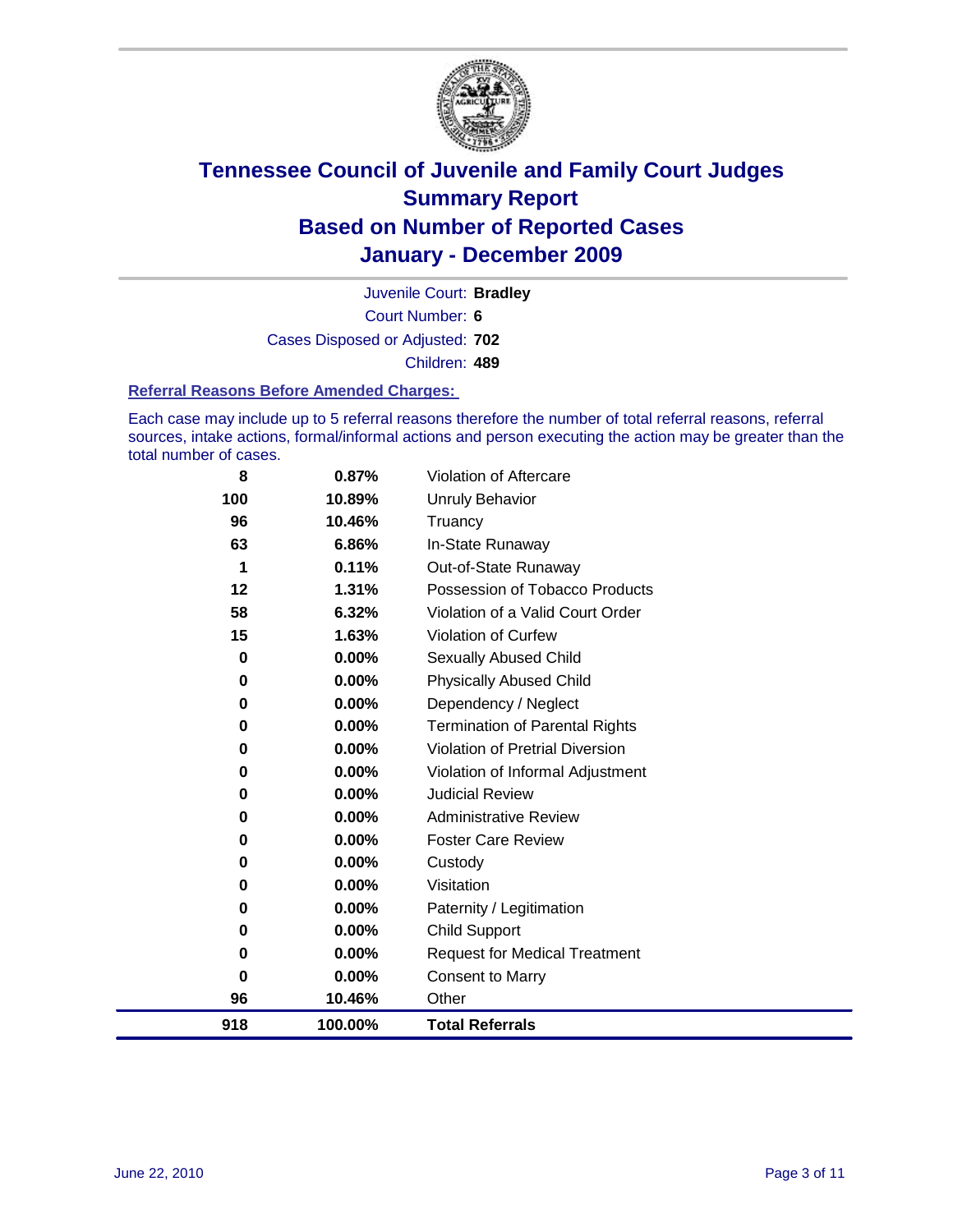

Court Number: **6** Juvenile Court: **Bradley** Cases Disposed or Adjusted: **702** Children: **489**

#### **Referral Reasons Before Amended Charges:**

Each case may include up to 5 referral reasons therefore the number of total referral reasons, referral sources, intake actions, formal/informal actions and person executing the action may be greater than the total number of cases.

| 918 | 100.00%  | <b>Total Referrals</b>                 |
|-----|----------|----------------------------------------|
| 96  | 10.46%   | Other                                  |
| 0   | 0.00%    | <b>Consent to Marry</b>                |
| 0   | 0.00%    | <b>Request for Medical Treatment</b>   |
| 0   | 0.00%    | <b>Child Support</b>                   |
| 0   | 0.00%    | Paternity / Legitimation               |
| 0   | 0.00%    | Visitation                             |
| 0   | 0.00%    | Custody                                |
| 0   | $0.00\%$ | <b>Foster Care Review</b>              |
| 0   | $0.00\%$ | <b>Administrative Review</b>           |
| 0   | $0.00\%$ | <b>Judicial Review</b>                 |
| 0   | 0.00%    | Violation of Informal Adjustment       |
| 0   | $0.00\%$ | <b>Violation of Pretrial Diversion</b> |
| 0   | $0.00\%$ | <b>Termination of Parental Rights</b>  |
| 0   | 0.00%    | Dependency / Neglect                   |
| 0   | $0.00\%$ | <b>Physically Abused Child</b>         |
| 0   | 0.00%    | <b>Sexually Abused Child</b>           |
| 15  | 1.63%    | Violation of Curfew                    |
| 58  | 6.32%    | Violation of a Valid Court Order       |
| 12  | 1.31%    | Possession of Tobacco Products         |
| 1   | 0.11%    | Out-of-State Runaway                   |
| 63  | 6.86%    | In-State Runaway                       |
| 96  | 10.46%   | Truancy                                |
| 100 | 10.89%   | Unruly Behavior                        |
| 8   | 0.87%    | Violation of Aftercare                 |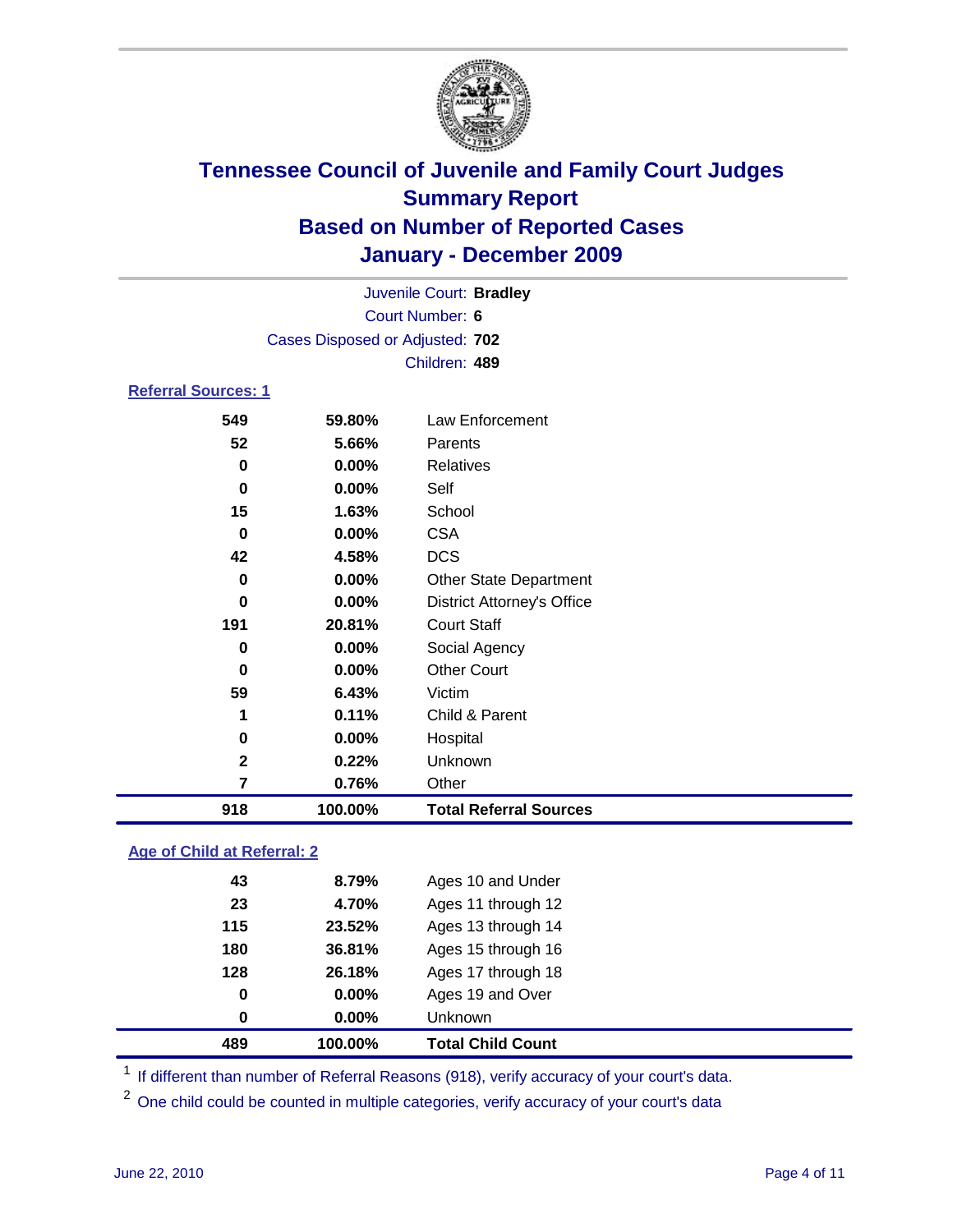

| Juvenile Court: Bradley    |                                 |                                   |  |  |
|----------------------------|---------------------------------|-----------------------------------|--|--|
| Court Number: 6            |                                 |                                   |  |  |
|                            | Cases Disposed or Adjusted: 702 |                                   |  |  |
|                            |                                 | Children: 489                     |  |  |
| <b>Referral Sources: 1</b> |                                 |                                   |  |  |
| 549                        | 59.80%                          | Law Enforcement                   |  |  |
| 52                         | 5.66%                           | Parents                           |  |  |
| 0                          | $0.00\%$                        | <b>Relatives</b>                  |  |  |
| 0                          | $0.00\%$                        | Self                              |  |  |
| 15                         | 1.63%                           | School                            |  |  |
| 0                          | $0.00\%$                        | <b>CSA</b>                        |  |  |
| 42                         | 4.58%                           | <b>DCS</b>                        |  |  |
| 0                          | 0.00%                           | <b>Other State Department</b>     |  |  |
| 0                          | $0.00\%$                        | <b>District Attorney's Office</b> |  |  |
| 191                        | 20.81%                          | <b>Court Staff</b>                |  |  |
| 0                          | 0.00%                           | Social Agency                     |  |  |
| 0                          | 0.00%                           | <b>Other Court</b>                |  |  |
| 59                         | 6.43%                           | Victim                            |  |  |
| 1                          | 0.11%                           | Child & Parent                    |  |  |
| 0                          | 0.00%                           | Hospital                          |  |  |
| $\mathbf{2}$               | 0.22%                           | Unknown                           |  |  |
| 7                          | 0.76%                           | Other                             |  |  |

### **Age of Child at Referral: 2**

| 0   | $0.00\%$ | <b>Unknown</b>     |
|-----|----------|--------------------|
|     |          |                    |
| 0   | 0.00%    | Ages 19 and Over   |
| 128 | 26.18%   | Ages 17 through 18 |
| 180 | 36.81%   | Ages 15 through 16 |
| 115 | 23.52%   | Ages 13 through 14 |
| 23  | 4.70%    | Ages 11 through 12 |
| 43  | 8.79%    | Ages 10 and Under  |
|     |          |                    |

<sup>1</sup> If different than number of Referral Reasons (918), verify accuracy of your court's data.

**100.00% Total Referral Sources**

<sup>2</sup> One child could be counted in multiple categories, verify accuracy of your court's data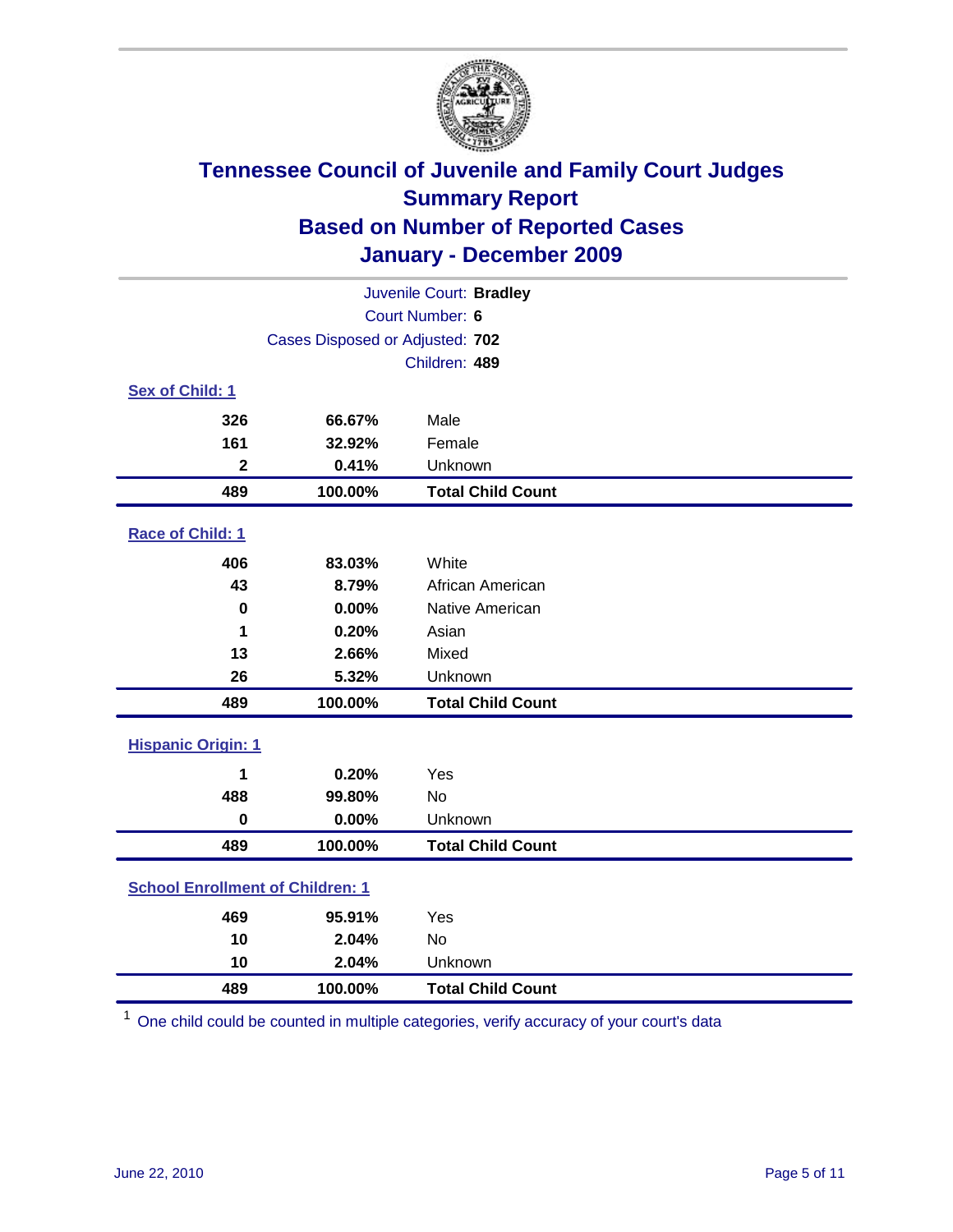

|                                         | Juvenile Court: Bradley         |                          |  |  |
|-----------------------------------------|---------------------------------|--------------------------|--|--|
|                                         |                                 | Court Number: 6          |  |  |
|                                         | Cases Disposed or Adjusted: 702 |                          |  |  |
|                                         |                                 | Children: 489            |  |  |
| Sex of Child: 1                         |                                 |                          |  |  |
| 326                                     | 66.67%                          | Male                     |  |  |
| 161                                     | 32.92%                          | Female                   |  |  |
| $\mathbf{2}$                            | 0.41%                           | Unknown                  |  |  |
| 489                                     | 100.00%                         | <b>Total Child Count</b> |  |  |
| Race of Child: 1                        |                                 |                          |  |  |
| 406                                     | 83.03%                          | White                    |  |  |
| 43                                      | 8.79%                           | African American         |  |  |
| $\bf{0}$                                | 0.00%                           | Native American          |  |  |
| 1                                       | 0.20%                           | Asian                    |  |  |
| 13                                      | 2.66%                           | Mixed                    |  |  |
| 26                                      | 5.32%                           | Unknown                  |  |  |
| 489                                     | 100.00%                         | <b>Total Child Count</b> |  |  |
| <b>Hispanic Origin: 1</b>               |                                 |                          |  |  |
| 1                                       | 0.20%                           | Yes                      |  |  |
| 488                                     | 99.80%                          | <b>No</b>                |  |  |
| $\mathbf 0$                             | 0.00%                           | Unknown                  |  |  |
| 489                                     | 100.00%                         | <b>Total Child Count</b> |  |  |
| <b>School Enrollment of Children: 1</b> |                                 |                          |  |  |
| 469                                     | 95.91%                          | Yes                      |  |  |
| 10                                      | 2.04%                           | No                       |  |  |
| 10                                      | 2.04%                           | Unknown                  |  |  |
| 489                                     | 100.00%                         | <b>Total Child Count</b> |  |  |

One child could be counted in multiple categories, verify accuracy of your court's data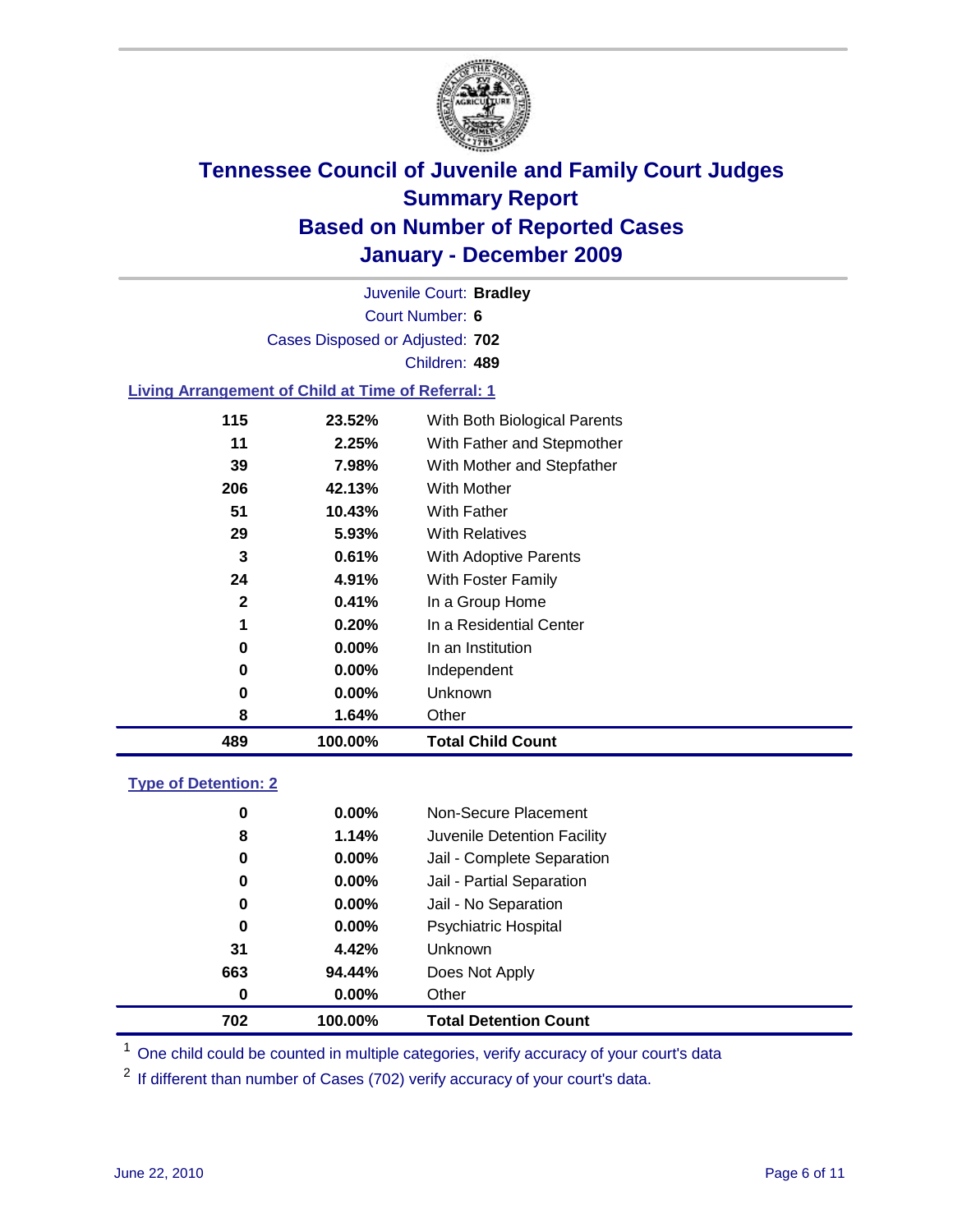

Court Number: **6** Juvenile Court: **Bradley** Cases Disposed or Adjusted: **702** Children: **489**

#### **Living Arrangement of Child at Time of Referral: 1**

| 489 | 100.00%  | <b>Total Child Count</b>     |
|-----|----------|------------------------------|
| 8   | 1.64%    | Other                        |
| 0   | $0.00\%$ | Unknown                      |
| 0   | $0.00\%$ | Independent                  |
| 0   | 0.00%    | In an Institution            |
| 1   | 0.20%    | In a Residential Center      |
| 2   | 0.41%    | In a Group Home              |
| 24  | 4.91%    | With Foster Family           |
| 3   | 0.61%    | With Adoptive Parents        |
| 29  | 5.93%    | <b>With Relatives</b>        |
| 51  | 10.43%   | <b>With Father</b>           |
| 206 | 42.13%   | With Mother                  |
| 39  | 7.98%    | With Mother and Stepfather   |
| 11  | 2.25%    | With Father and Stepmother   |
| 115 | 23.52%   | With Both Biological Parents |

#### **Type of Detention: 2**

| 702      | 100.00%  | <b>Total Detention Count</b> |  |
|----------|----------|------------------------------|--|
| 0        | $0.00\%$ | Other                        |  |
| 663      | 94.44%   | Does Not Apply               |  |
| 31       | 4.42%    | Unknown                      |  |
| 0        | 0.00%    | <b>Psychiatric Hospital</b>  |  |
| $\bf{0}$ | 0.00%    | Jail - No Separation         |  |
| 0        | $0.00\%$ | Jail - Partial Separation    |  |
| 0        | $0.00\%$ | Jail - Complete Separation   |  |
| 8        | 1.14%    | Juvenile Detention Facility  |  |
| 0        | $0.00\%$ | Non-Secure Placement         |  |
|          |          |                              |  |

<sup>1</sup> One child could be counted in multiple categories, verify accuracy of your court's data

<sup>2</sup> If different than number of Cases (702) verify accuracy of your court's data.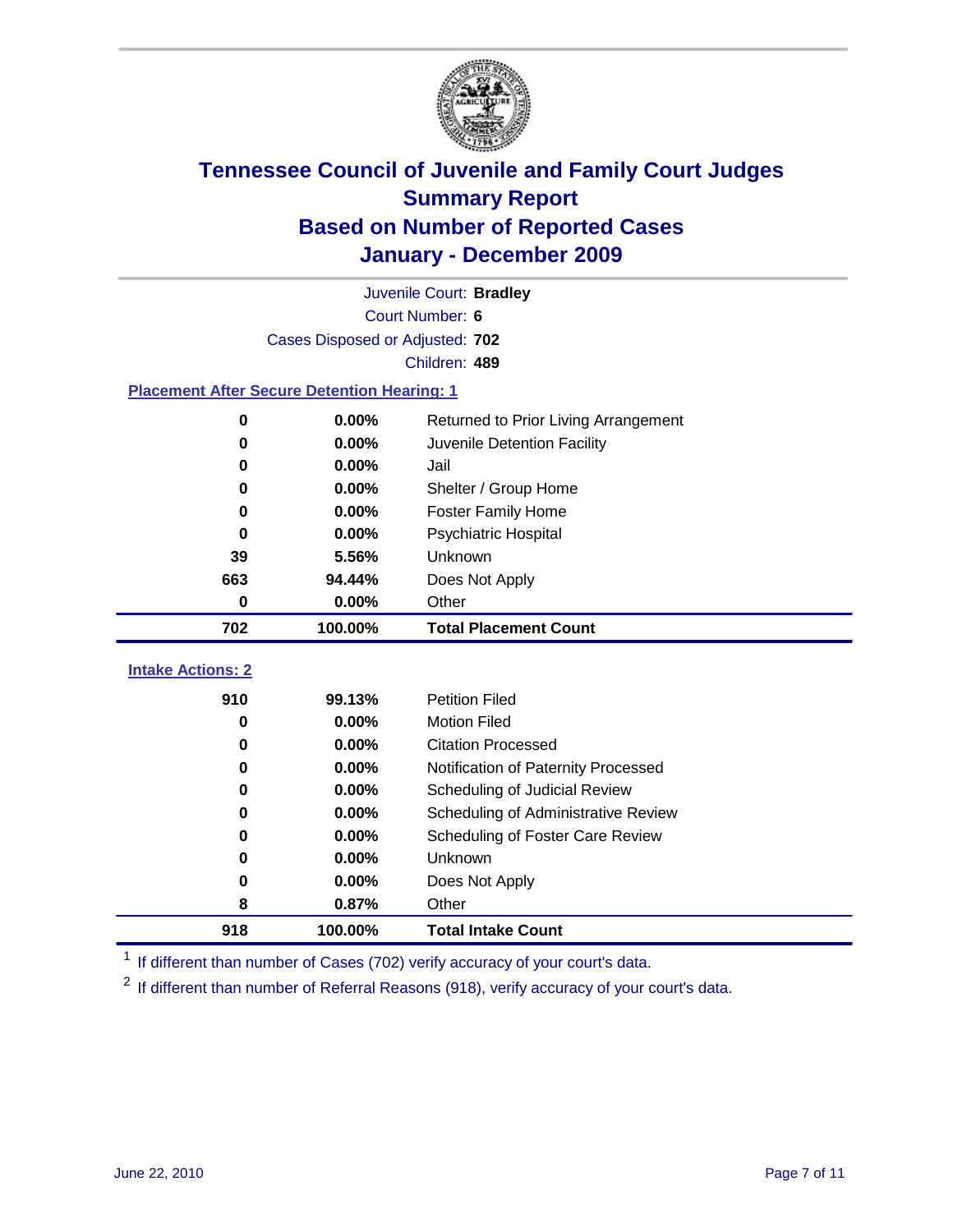

| Juvenile Court: Bradley                            |                                 |                                      |  |  |  |
|----------------------------------------------------|---------------------------------|--------------------------------------|--|--|--|
|                                                    | Court Number: 6                 |                                      |  |  |  |
|                                                    | Cases Disposed or Adjusted: 702 |                                      |  |  |  |
|                                                    |                                 | Children: 489                        |  |  |  |
| <b>Placement After Secure Detention Hearing: 1</b> |                                 |                                      |  |  |  |
| 0                                                  | 0.00%                           | Returned to Prior Living Arrangement |  |  |  |
| $\bf{0}$                                           | 0.00%                           | Juvenile Detention Facility          |  |  |  |
| $\bf{0}$                                           | 0.00%                           | Jail                                 |  |  |  |
| $\bf{0}$                                           | 0.00%                           | Shelter / Group Home                 |  |  |  |
| 0                                                  | 0.00%                           | <b>Foster Family Home</b>            |  |  |  |
| $\bf{0}$                                           | 0.00%                           | Psychiatric Hospital                 |  |  |  |
| 39                                                 | 5.56%                           | Unknown                              |  |  |  |
| 663                                                | 94.44%                          | Does Not Apply                       |  |  |  |
| $\mathbf 0$                                        | 0.00%                           | Other                                |  |  |  |
| 702                                                | 100.00%                         | <b>Total Placement Count</b>         |  |  |  |
|                                                    |                                 |                                      |  |  |  |
| <b>Intake Actions: 2</b>                           |                                 |                                      |  |  |  |
| 910                                                | 99.13%                          | <b>Petition Filed</b>                |  |  |  |
| 0                                                  | 0.00%                           | <b>Motion Filed</b>                  |  |  |  |
| $\bf{0}$                                           | 0.00%                           | <b>Citation Processed</b>            |  |  |  |
| $\bf{0}$                                           | 0.00%                           | Notification of Paternity Processed  |  |  |  |
| $\bf{0}$                                           | 0.00%                           | Scheduling of Judicial Review        |  |  |  |
| 0                                                  | 0.00%                           | Scheduling of Administrative Review  |  |  |  |
| 0                                                  | 0.00%                           | Scheduling of Foster Care Review     |  |  |  |
| $\bf{0}$                                           | 0.00%                           | Unknown                              |  |  |  |
| 0                                                  | 0.00%                           | Does Not Apply                       |  |  |  |
| 8                                                  | 0.87%                           | Other                                |  |  |  |
| 918                                                | 100.00%                         | <b>Total Intake Count</b>            |  |  |  |

<sup>1</sup> If different than number of Cases (702) verify accuracy of your court's data.

<sup>2</sup> If different than number of Referral Reasons (918), verify accuracy of your court's data.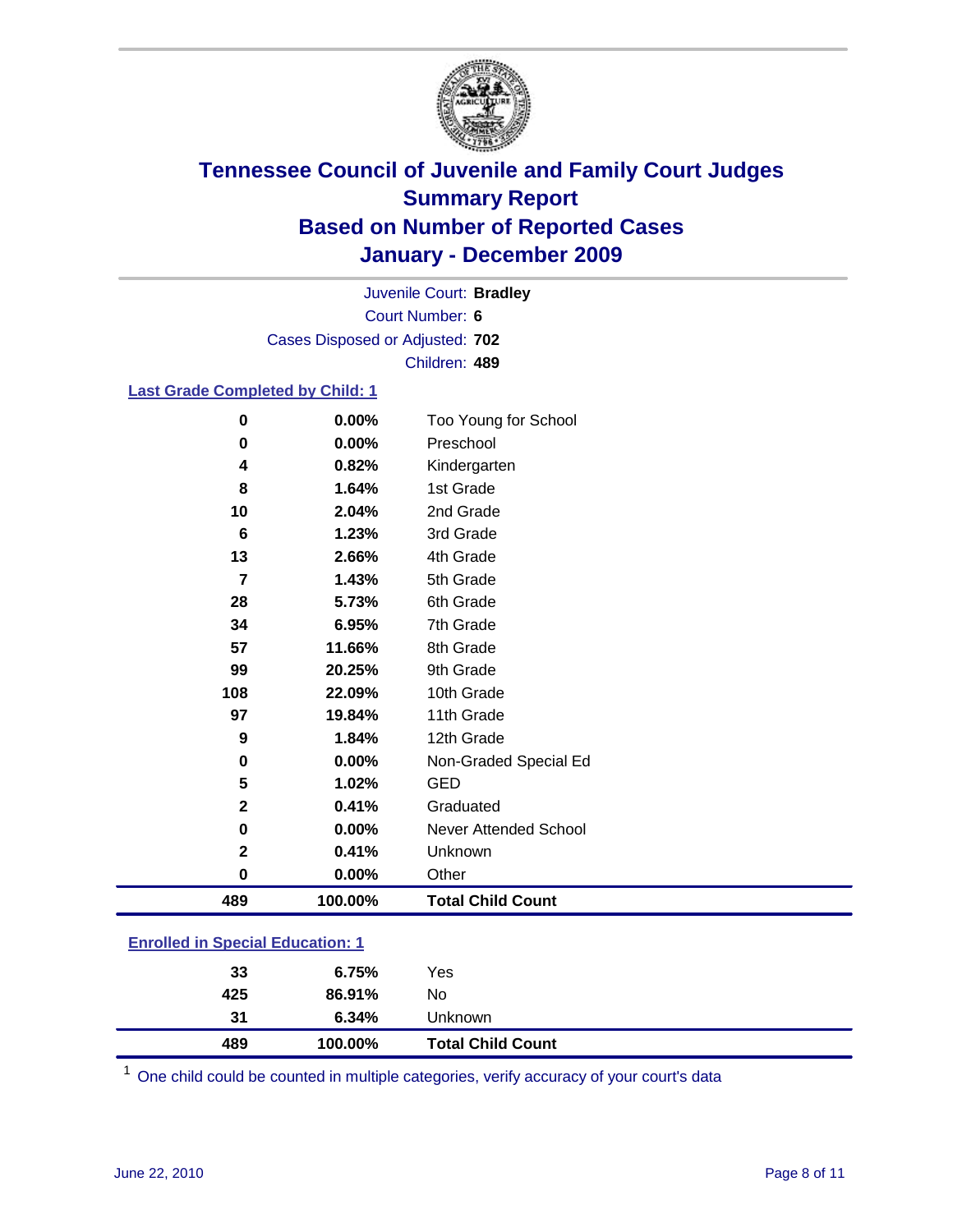

Court Number: **6** Juvenile Court: **Bradley** Cases Disposed or Adjusted: **702** Children: **489**

#### **Last Grade Completed by Child: 1**

| 489              | 100.00% | <b>Total Child Count</b> |
|------------------|---------|--------------------------|
| 0                | 0.00%   | Other                    |
| $\mathbf{2}$     | 0.41%   | Unknown                  |
| 0                | 0.00%   | Never Attended School    |
| $\mathbf{2}$     | 0.41%   | Graduated                |
| 5                | 1.02%   | <b>GED</b>               |
| 0                | 0.00%   | Non-Graded Special Ed    |
| $\boldsymbol{9}$ | 1.84%   | 12th Grade               |
| 97               | 19.84%  | 11th Grade               |
| 108              | 22.09%  | 10th Grade               |
| 99               | 20.25%  | 9th Grade                |
| 57               | 11.66%  | 8th Grade                |
| 34               | 6.95%   | 7th Grade                |
| 28               | 5.73%   | 6th Grade                |
| 7                | 1.43%   | 5th Grade                |
| 13               | 2.66%   | 4th Grade                |
| 6                | 1.23%   | 3rd Grade                |
| 10               | 2.04%   | 2nd Grade                |
| 8                | 1.64%   | 1st Grade                |
| 4                | 0.82%   | Kindergarten             |
| $\mathbf 0$      | 0.00%   | Preschool                |
| 0                | 0.00%   | Too Young for School     |

### **Enrolled in Special Education: 1**

| 489 | 100.00% | <b>Total Child Count</b> |  |
|-----|---------|--------------------------|--|
| 31  | 6.34%   | Unknown                  |  |
| 425 | 86.91%  | No                       |  |
| 33  | 6.75%   | Yes                      |  |
|     |         |                          |  |

One child could be counted in multiple categories, verify accuracy of your court's data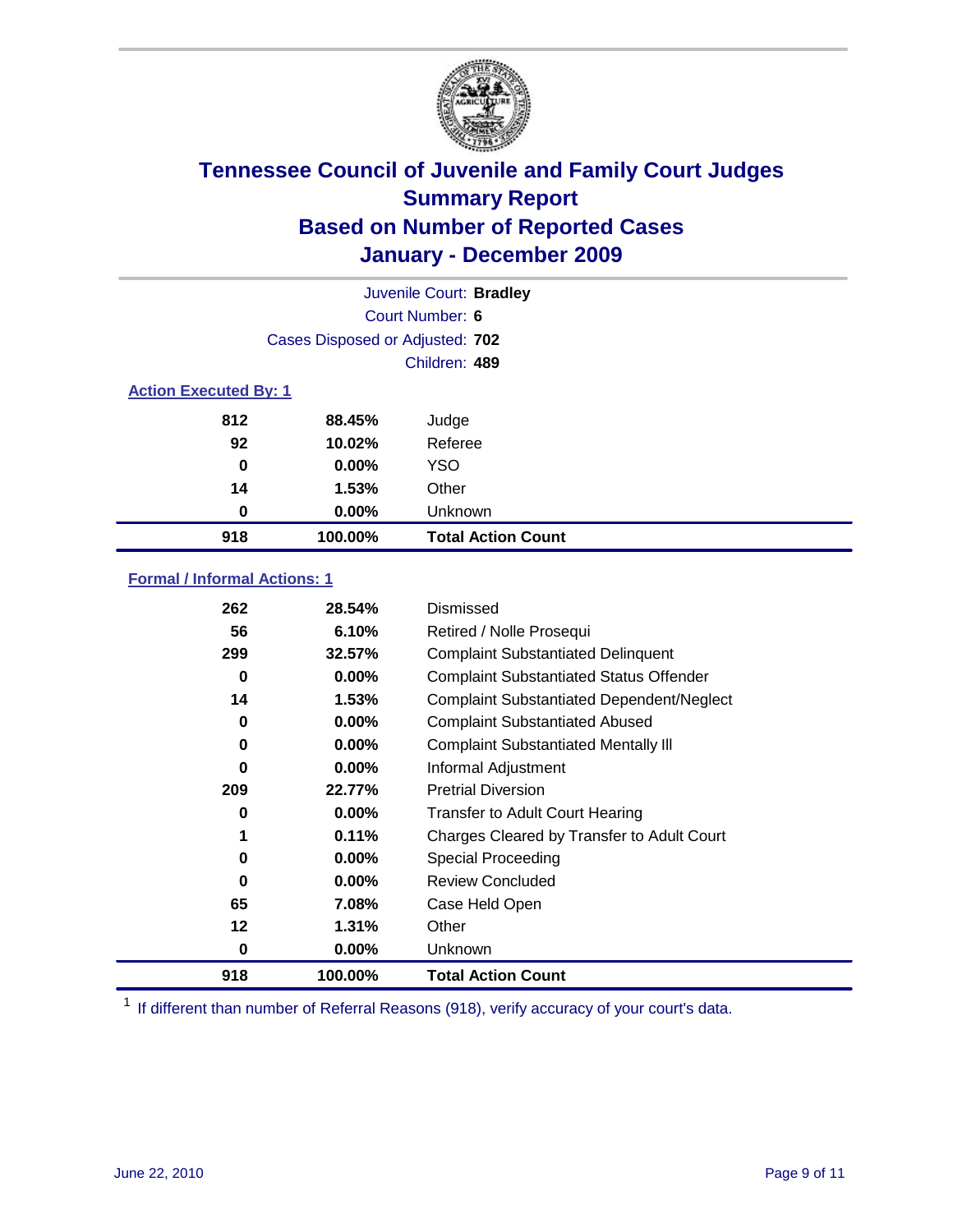

| Juvenile Court: Bradley      |                                 |                           |  |  |
|------------------------------|---------------------------------|---------------------------|--|--|
|                              | Court Number: 6                 |                           |  |  |
|                              | Cases Disposed or Adjusted: 702 |                           |  |  |
|                              |                                 | Children: 489             |  |  |
| <b>Action Executed By: 1</b> |                                 |                           |  |  |
| 812                          | 88.45%                          | Judge                     |  |  |
| 92                           | 10.02%                          | Referee                   |  |  |
| 0                            | $0.00\%$                        | <b>YSO</b>                |  |  |
| 14                           | 1.53%                           | Other                     |  |  |
| 0                            | 0.00%                           | Unknown                   |  |  |
| 918                          | 100.00%                         | <b>Total Action Count</b> |  |  |

### **Formal / Informal Actions: 1**

| 262 | 28.54%   | Dismissed                                        |
|-----|----------|--------------------------------------------------|
| 56  | 6.10%    | Retired / Nolle Prosequi                         |
| 299 | 32.57%   | <b>Complaint Substantiated Delinquent</b>        |
| 0   | $0.00\%$ | <b>Complaint Substantiated Status Offender</b>   |
| 14  | 1.53%    | <b>Complaint Substantiated Dependent/Neglect</b> |
| 0   | $0.00\%$ | <b>Complaint Substantiated Abused</b>            |
| 0   | $0.00\%$ | <b>Complaint Substantiated Mentally III</b>      |
| 0   | $0.00\%$ | Informal Adjustment                              |
| 209 | 22.77%   | <b>Pretrial Diversion</b>                        |
| 0   | $0.00\%$ | <b>Transfer to Adult Court Hearing</b>           |
| 1   | 0.11%    | Charges Cleared by Transfer to Adult Court       |
| 0   | $0.00\%$ | Special Proceeding                               |
| 0   | $0.00\%$ | <b>Review Concluded</b>                          |
| 65  | 7.08%    | Case Held Open                                   |
| 12  | 1.31%    | Other                                            |
| 0   | $0.00\%$ | Unknown                                          |
| 918 | 100.00%  | <b>Total Action Count</b>                        |

<sup>1</sup> If different than number of Referral Reasons (918), verify accuracy of your court's data.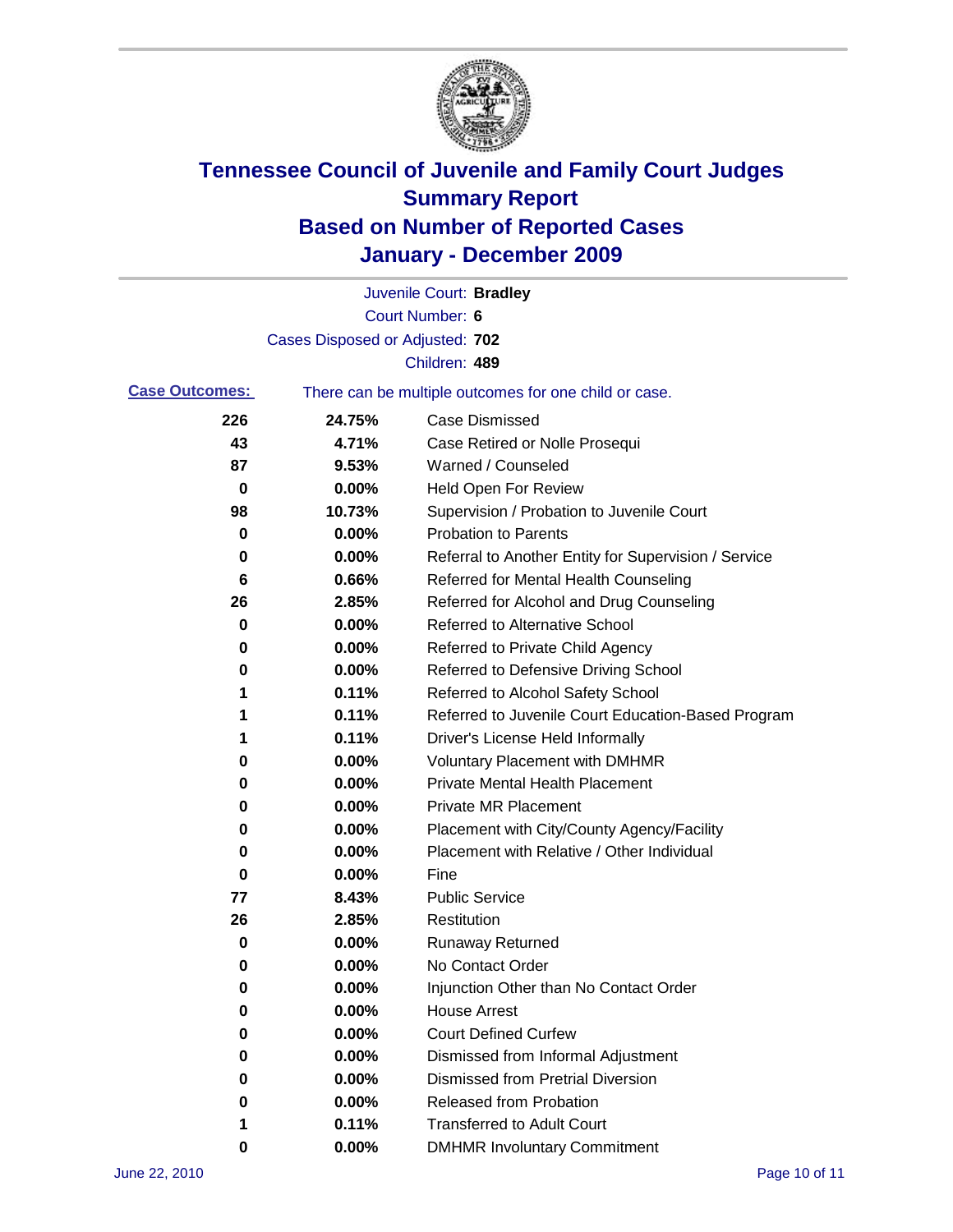

|                       |                                 | Juvenile Court: Bradley                               |
|-----------------------|---------------------------------|-------------------------------------------------------|
|                       |                                 | <b>Court Number: 6</b>                                |
|                       | Cases Disposed or Adjusted: 702 |                                                       |
|                       |                                 | Children: 489                                         |
| <b>Case Outcomes:</b> |                                 | There can be multiple outcomes for one child or case. |
| 226                   | 24.75%                          | <b>Case Dismissed</b>                                 |
| 43                    | 4.71%                           | Case Retired or Nolle Prosequi                        |
| 87                    | 9.53%                           | Warned / Counseled                                    |
| $\mathbf 0$           | 0.00%                           | Held Open For Review                                  |
| 98                    | 10.73%                          | Supervision / Probation to Juvenile Court             |
| 0                     | 0.00%                           | <b>Probation to Parents</b>                           |
| 0                     | 0.00%                           | Referral to Another Entity for Supervision / Service  |
| 6                     | 0.66%                           | Referred for Mental Health Counseling                 |
| 26                    | 2.85%                           | Referred for Alcohol and Drug Counseling              |
| 0                     | 0.00%                           | <b>Referred to Alternative School</b>                 |
| 0                     | 0.00%                           | Referred to Private Child Agency                      |
| 0                     | 0.00%                           | Referred to Defensive Driving School                  |
| 1                     | 0.11%                           | Referred to Alcohol Safety School                     |
| 1                     | 0.11%                           | Referred to Juvenile Court Education-Based Program    |
| 1                     | 0.11%                           | Driver's License Held Informally                      |
| 0                     | 0.00%                           | <b>Voluntary Placement with DMHMR</b>                 |
| 0                     | 0.00%                           | Private Mental Health Placement                       |
| 0                     | 0.00%                           | <b>Private MR Placement</b>                           |
| 0                     | 0.00%                           | Placement with City/County Agency/Facility            |
| 0                     | 0.00%                           | Placement with Relative / Other Individual            |
| 0                     | 0.00%                           | Fine                                                  |
| 77                    | 8.43%                           | <b>Public Service</b>                                 |
| 26                    | 2.85%                           | Restitution                                           |
| 0                     | 0.00%                           | <b>Runaway Returned</b>                               |
| 0                     | 0.00%                           | No Contact Order                                      |
| 0                     | 0.00%                           | Injunction Other than No Contact Order                |
| 0                     | 0.00%                           | <b>House Arrest</b>                                   |
| 0                     | $0.00\%$                        | <b>Court Defined Curfew</b>                           |
| 0                     | $0.00\%$                        | Dismissed from Informal Adjustment                    |
| 0                     | $0.00\%$                        | <b>Dismissed from Pretrial Diversion</b>              |
| 0                     | 0.00%                           | Released from Probation                               |
| 1                     | 0.11%                           | <b>Transferred to Adult Court</b>                     |
| 0                     | $0.00\%$                        | <b>DMHMR Involuntary Commitment</b>                   |